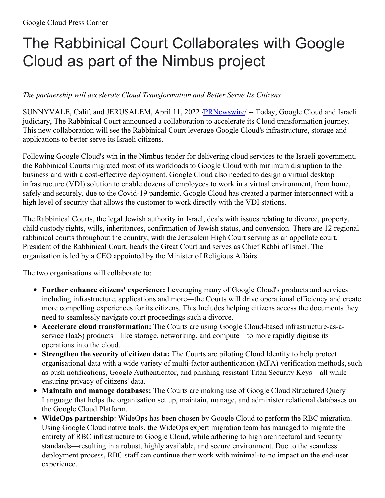## The Rabbinical Court Collaborates with Google Cloud as part of the Nimbus project

## *The partnership will accelerate Cloud Transformation and Better Serve Its Citizens*

SUNNYVALE, Calif, and JERUSALEM, April 11, 2022 [/PRNewswire](http://www.prnewswire.com/)/ -- Today, Google Cloud and Israeli judiciary, The Rabbinical Court announced a collaboration to accelerate its Cloud transformation journey. This new collaboration will see the Rabbinical Court leverage Google Cloud's infrastructure, storage and applications to better serve its Israeli citizens.

Following Google Cloud's win in the Nimbus tender for delivering cloud services to the Israeli government, the Rabbinical Courts migrated most of its workloads to Google Cloud with minimum disruption to the business and with a cost-effective deployment. Google Cloud also needed to design a virtual desktop infrastructure (VDI) solution to enable dozens of employees to work in a virtual environment, from home, safely and securely, due to the Covid-19 pandemic. Google Cloud has created a partner interconnect with a high level of security that allows the customer to work directly with the VDI stations.

The Rabbinical Courts, the legal Jewish authority in Israel, deals with issues relating to divorce, property, child custody rights, wills, inheritances, confirmation of Jewish status, and conversion. There are 12 regional rabbinical courts throughout the country, with the Jerusalem High Court serving as an appellate court. President of the Rabbinical Court, heads the Great Court and serves as Chief Rabbi of Israel. The organisation is led by a CEO appointed by the Minister of Religious Affairs.

The two organisations will collaborate to:

- **Further enhance citizens' experience:** Leveraging many of Google Cloud's products and services including infrastructure, applications and more—the Courts will drive operational efficiency and create more compelling experiences for its citizens. This Includes helping citizens access the documents they need to seamlessly navigate court proceedings such a divorce.
- **Accelerate cloud transformation:** The Courts are using Google Cloud-based infrastructure-as-aservice (IaaS) products—like storage, networking, and compute—to more rapidly digitise its operations into the cloud.
- **Strengthen the security of citizen data:** The Courts are piloting Cloud Identity to help protect organisational data with a wide variety of multi-factor authentication (MFA) verification methods, such as push notifications, Google Authenticator, and phishing-resistant Titan Security Keys—all while ensuring privacy of citizens' data.
- **Maintain and manage databases:** The Courts are making use of Google Cloud Structured Query Language that helps the organisation set up, maintain, manage, and administer relational databases on the Google Cloud Platform.
- **WideOps partnership:** WideOps has been chosen by Google Cloud to perform the RBC migration. Using Google Cloud native tools, the WideOps expert migration team has managed to migrate the entirety of RBC infrastructure to Google Cloud, while adhering to high architectural and security standards—resulting in a robust, highly available, and secure environment. Due to the seamless deployment process, RBC staff can continue their work with minimal-to-no impact on the end-user experience.